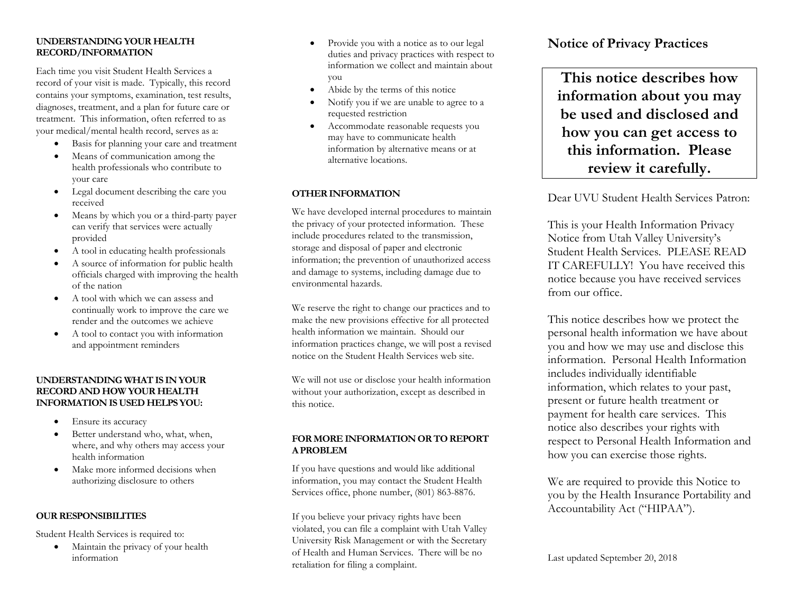#### **UNDERSTANDING YOUR HEALTH RECORD/INFORMATION**

Each time you visit Student Health Services a record of your visit is made. Typically, this record contains your symptoms, examination, test results, diagnoses, treatment, and a plan for future care or treatment. This information, often referred to as your medical/mental health record, serves as a:

- Basis for planning your care and treatment
- Means of communication among the health professionals who contribute to your care
- Legal document describing the care you received
- Means by which you or a third-party payer can verify that services were actually provided
- A tool in educating health professionals
- A source of information for public health officials charged with improving the health of the nation
- A tool with which we can assess and continually work to improve the care we render and the outcomes we achieve
- A tool to contact you with information and appointment reminders

#### **UNDERSTANDING WHAT IS IN YOUR RECORD AND HOW YOUR HEALTH INFORMATION IS USED HELPS YOU:**

- Ensure its accuracy
- Better understand who, what, when, where, and why others may access your health information
- Make more informed decisions when authorizing disclosure to others

## **OUR RESPONSIBILITIES**

Student Health Services is required to:

• Maintain the privacy of your health information

- Provide you with a notice as to our legal duties and privacy practices with respect to information we collect and maintain about you
- Abide by the terms of this notice
- Notify you if we are unable to agree to a requested restriction
- Accommodate reasonable requests you may have to communicate health information by alternative means or at alternative locations.

## **OTHER INFORMATION**

We have developed internal procedures to maintain the privacy of your protected information. These include procedures related to the transmission, storage and disposal of paper and electronic information; the prevention of unauthorized access and damage to systems, including damage due to environmental hazards.

We reserve the right to change our practices and to make the new provisions effective for all protected health information we maintain. Should our information practices change, we will post a revised notice on the Student Health Services web site.

We will not use or disclose your health information without your authorization, except as described in this notice.

## **FOR MORE INFORMATION OR TO REPORT A PROBLEM**

If you have questions and would like additional information, you may contact the Student Health Services office, phone number, (801) 863-8876.

If you believe your privacy rights have been violated, you can file a complaint with Utah Valley University Risk Management or with the Secretary of Health and Human Services. There will be no retaliation for filing a complaint.

# **Notice of Privacy Practices**

**This notice describes how information about you may be used and disclosed and how you can get access to this information. Please review it carefully.**

Dear UVU Student Health Services Patron:

This is your Health Information Privacy Notice from Utah Valley University's Student Health Services. PLEASE READ IT CAREFULLY! You have received this notice because you have received services from our office.

This notice describes how we protect the personal health information we have about you and how we may use and disclose this information. Personal Health Information includes individually identifiable information, which relates to your past, present or future health treatment or payment for health care services. This notice also describes your rights with respect to Personal Health Information and how you can exercise those rights.

We are required to provide this Notice to you by the Health Insurance Portability and Accountability Act ("HIPAA").

Last updated September 20, 2018